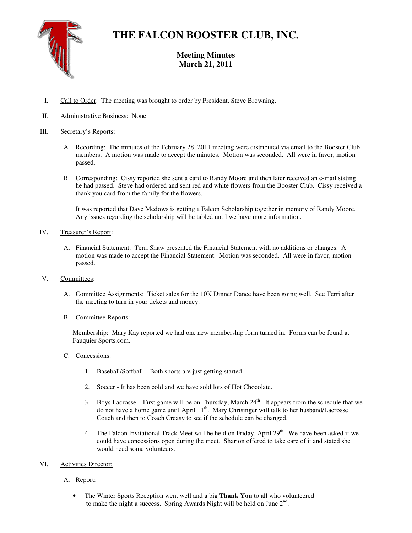

# **THE FALCON BOOSTER CLUB, INC.**

# **Meeting Minutes March 21, 2011**

- I. Call to Order: The meeting was brought to order by President, Steve Browning.
- II. Administrative Business: None

### III. Secretary's Reports:

- A. Recording: The minutes of the February 28, 2011 meeting were distributed via email to the Booster Club members. A motion was made to accept the minutes. Motion was seconded. All were in favor, motion passed.
- B. Corresponding: Cissy reported she sent a card to Randy Moore and then later received an e-mail stating he had passed. Steve had ordered and sent red and white flowers from the Booster Club. Cissy received a thank you card from the family for the flowers.

It was reported that Dave Medows is getting a Falcon Scholarship together in memory of Randy Moore. Any issues regarding the scholarship will be tabled until we have more information.

### IV. Treasurer's Report:

- A. Financial Statement: Terri Shaw presented the Financial Statement with no additions or changes. A motion was made to accept the Financial Statement. Motion was seconded. All were in favor, motion passed.
- V. Committees:
	- A. Committee Assignments: Ticket sales for the 10K Dinner Dance have been going well. See Terri after the meeting to turn in your tickets and money.
	- B. Committee Reports:

Membership: Mary Kay reported we had one new membership form turned in. Forms can be found at Fauquier Sports.com.

- C. Concessions:
	- 1. Baseball/Softball Both sports are just getting started.
	- 2. Soccer It has been cold and we have sold lots of Hot Chocolate.
	- 3. Boys Lacrosse First game will be on Thursday, March  $24<sup>th</sup>$ . It appears from the schedule that we do not have a home game until April 11th. Mary Chrisinger will talk to her husband/Lacrosse Coach and then to Coach Creasy to see if the schedule can be changed.
	- 4. The Falcon Invitational Track Meet will be held on Friday, April 29<sup>th</sup>. We have been asked if we could have concessions open during the meet. Sharion offered to take care of it and stated she would need some volunteers.

## VI. Activities Director:

- A. Report:
	- The Winter Sports Reception went well and a big **Thank You** to all who volunteered to make the night a success. Spring Awards Night will be held on June  $2<sup>nd</sup>$ .